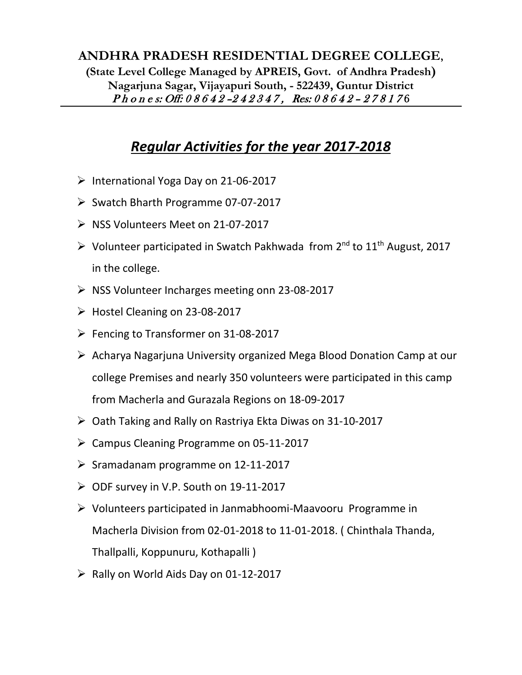#### **ANDHRA PRADESH RESIDENTIAL DEGREE COLLEGE, (State Level College Managed by APREIS, Govt. of Andhra Pradesh) Nagarjuna Sagar, Vijayapuri South, - 522439, Guntur District** Phones: Off: 08642-242347, Res: 08642-278176

## *Regular Activities for the year 2017-2018*

- ➢ International Yoga Day on 21-06-2017
- ➢ Swatch Bharth Programme 07-07-2017
- ➢ NSS Volunteers Meet on 21-07-2017
- $\triangleright$  Volunteer participated in Swatch Pakhwada from 2<sup>nd</sup> to 11<sup>th</sup> August, 2017 in the college.
- ➢ NSS Volunteer Incharges meeting onn 23-08-2017
- $\triangleright$  Hostel Cleaning on 23-08-2017
- ➢ Fencing to Transformer on 31-08-2017
- ➢ Acharya Nagarjuna University organized Mega Blood Donation Camp at our college Premises and nearly 350 volunteers were participated in this camp from Macherla and Gurazala Regions on 18-09-2017
- ➢ Oath Taking and Rally on Rastriya Ekta Diwas on 31-10-2017
- ➢ Campus Cleaning Programme on 05-11-2017
- $\triangleright$  Sramadanam programme on 12-11-2017
- $\triangleright$  ODF survey in V.P. South on 19-11-2017
- ➢ Volunteers participated in Janmabhoomi-Maavooru Programme in Macherla Division from 02-01-2018 to 11-01-2018. ( Chinthala Thanda, Thallpalli, Koppunuru, Kothapalli )
- $\triangleright$  Rally on World Aids Day on 01-12-2017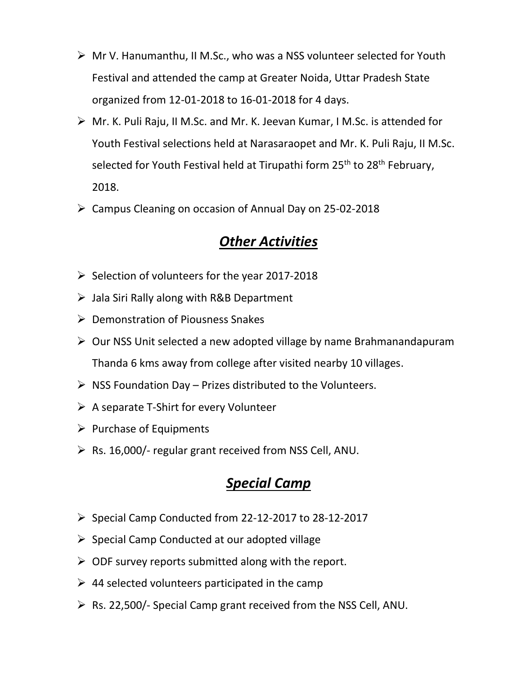- ➢ Mr V. Hanumanthu, II M.Sc., who was a NSS volunteer selected for Youth Festival and attended the camp at Greater Noida, Uttar Pradesh State organized from 12-01-2018 to 16-01-2018 for 4 days.
- ➢ Mr. K. Puli Raju, II M.Sc. and Mr. K. Jeevan Kumar, I M.Sc. is attended for Youth Festival selections held at Narasaraopet and Mr. K. Puli Raju, II M.Sc. selected for Youth Festival held at Tirupathi form 25<sup>th</sup> to 28<sup>th</sup> February, 2018.
- ➢ Campus Cleaning on occasion of Annual Day on 25-02-2018

### *Other Activities*

- ➢ Selection of volunteers for the year 2017-2018
- $\triangleright$  Jala Siri Rally along with R&B Department
- ➢ Demonstration of Piousness Snakes
- $\triangleright$  Our NSS Unit selected a new adopted village by name Brahmanandapuram Thanda 6 kms away from college after visited nearby 10 villages.
- $\triangleright$  NSS Foundation Day Prizes distributed to the Volunteers.
- $\triangleright$  A separate T-Shirt for every Volunteer
- ➢ Purchase of Equipments
- ➢ Rs. 16,000/- regular grant received from NSS Cell, ANU.

#### *Special Camp*

- ➢ Special Camp Conducted from 22-12-2017 to 28-12-2017
- $\triangleright$  Special Camp Conducted at our adopted village
- $\triangleright$  ODF survey reports submitted along with the report.
- $\triangleright$  44 selected volunteers participated in the camp
- $\triangleright$  Rs. 22,500/- Special Camp grant received from the NSS Cell, ANU.